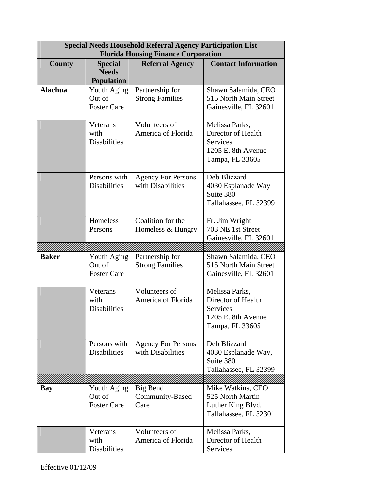| <b>Special Needs Household Referral Agency Participation List</b><br><b>Florida Housing Finance Corporation</b> |                                                     |                                                |                                                                                                  |
|-----------------------------------------------------------------------------------------------------------------|-----------------------------------------------------|------------------------------------------------|--------------------------------------------------------------------------------------------------|
| <b>County</b>                                                                                                   | <b>Special</b><br><b>Needs</b><br><b>Population</b> | <b>Referral Agency</b>                         | <b>Contact Information</b>                                                                       |
| <b>Alachua</b>                                                                                                  | Youth Aging<br>Out of<br><b>Foster Care</b>         | Partnership for<br><b>Strong Families</b>      | Shawn Salamida, CEO<br>515 North Main Street<br>Gainesville, FL 32601                            |
|                                                                                                                 | Veterans<br>with<br><b>Disabilities</b>             | Volunteers of<br>America of Florida            | Melissa Parks,<br>Director of Health<br><b>Services</b><br>1205 E. 8th Avenue<br>Tampa, FL 33605 |
|                                                                                                                 | Persons with<br><b>Disabilities</b>                 | <b>Agency For Persons</b><br>with Disabilities | Deb Blizzard<br>4030 Esplanade Way<br>Suite 380<br>Tallahassee, FL 32399                         |
|                                                                                                                 | Homeless<br>Persons                                 | Coalition for the<br>Homeless & Hungry         | Fr. Jim Wright<br>703 NE 1st Street<br>Gainesville, FL 32601                                     |
|                                                                                                                 |                                                     |                                                |                                                                                                  |
| <b>Baker</b>                                                                                                    | Youth Aging<br>Out of<br><b>Foster Care</b>         | Partnership for<br><b>Strong Families</b>      | Shawn Salamida, CEO<br>515 North Main Street<br>Gainesville, FL 32601                            |
|                                                                                                                 |                                                     |                                                |                                                                                                  |
|                                                                                                                 | Veterans<br>with<br><b>Disabilities</b>             | Volunteers of<br>America of Florida            | Melissa Parks,<br>Director of Health<br>Services<br>1205 E. 8th Avenue<br>Tampa, FL 33605        |
|                                                                                                                 | Persons with<br><b>Disabilities</b>                 | <b>Agency For Persons</b><br>with Disabilities | Deb Blizzard<br>4030 Esplanade Way,<br>Suite 380<br>Tallahassee, FL 32399                        |
|                                                                                                                 |                                                     |                                                |                                                                                                  |
| <b>Bay</b>                                                                                                      | Youth Aging<br>Out of<br><b>Foster Care</b>         | Big Bend<br>Community-Based<br>Care            | Mike Watkins, CEO<br>525 North Martin<br>Luther King Blvd.<br>Tallahassee, FL 32301              |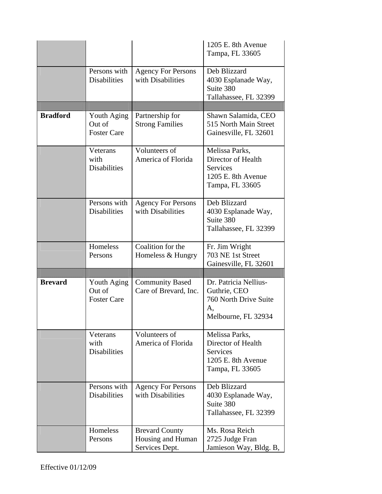|                 |                                             |                                                 | 1205 E. 8th Avenue<br>Tampa, FL 33605                                                            |
|-----------------|---------------------------------------------|-------------------------------------------------|--------------------------------------------------------------------------------------------------|
|                 | Persons with<br><b>Disabilities</b>         | <b>Agency For Persons</b><br>with Disabilities  | Deb Blizzard<br>4030 Esplanade Way,<br>Suite 380<br>Tallahassee, FL 32399                        |
|                 |                                             |                                                 |                                                                                                  |
| <b>Bradford</b> | Youth Aging<br>Out of<br><b>Foster Care</b> | Partnership for<br><b>Strong Families</b>       | Shawn Salamida, CEO<br>515 North Main Street<br>Gainesville, FL 32601                            |
|                 | Veterans<br>with<br><b>Disabilities</b>     | Volunteers of<br>America of Florida             | Melissa Parks,<br>Director of Health<br><b>Services</b><br>1205 E. 8th Avenue<br>Tampa, FL 33605 |
|                 | Persons with<br><b>Disabilities</b>         | <b>Agency For Persons</b><br>with Disabilities  | Deb Blizzard<br>4030 Esplanade Way,<br>Suite 380<br>Tallahassee, FL 32399                        |
|                 | Homeless<br>Persons                         | Coalition for the<br>Homeless & Hungry          | Fr. Jim Wright<br>703 NE 1st Street<br>Gainesville, FL 32601                                     |
|                 |                                             |                                                 |                                                                                                  |
| <b>Brevard</b>  | Youth Aging<br>Out of<br><b>Foster Care</b> | <b>Community Based</b><br>Care of Brevard, Inc. | Dr. Patricia Nellius-<br>Guthrie, CEO<br>760 North Drive Suite<br>A,                             |
|                 |                                             |                                                 | Melbourne, FL 32934                                                                              |
|                 | Veterans<br>with<br><b>Disabilities</b>     | Volunteers of<br>America of Florida             | Melissa Parks,<br>Director of Health<br>Services<br>1205 E. 8th Avenue<br>Tampa, FL 33605        |
|                 | Persons with<br><b>Disabilities</b>         | <b>Agency For Persons</b><br>with Disabilities  | Deb Blizzard<br>4030 Esplanade Way,<br>Suite 380<br>Tallahassee, FL 32399                        |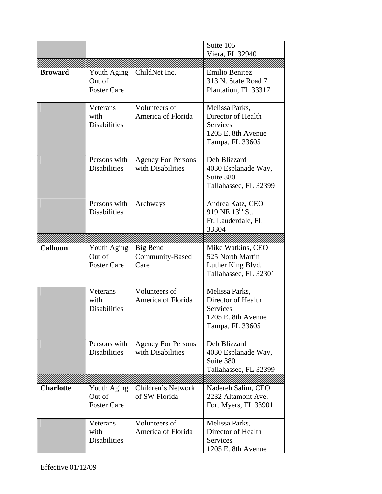|                  |                                             |                                                | Suite 105<br>Viera, FL 32940                                                                     |
|------------------|---------------------------------------------|------------------------------------------------|--------------------------------------------------------------------------------------------------|
| <b>Broward</b>   | Youth Aging<br>Out of<br><b>Foster Care</b> | ChildNet Inc.                                  | Emilio Benitez<br>313 N. State Road 7<br>Plantation, FL 33317                                    |
|                  | Veterans<br>with<br><b>Disabilities</b>     | Volunteers of<br>America of Florida            | Melissa Parks,<br>Director of Health<br><b>Services</b><br>1205 E. 8th Avenue<br>Tampa, FL 33605 |
|                  | Persons with<br><b>Disabilities</b>         | <b>Agency For Persons</b><br>with Disabilities | Deb Blizzard<br>4030 Esplanade Way,<br>Suite 380<br>Tallahassee, FL 32399                        |
|                  | Persons with<br><b>Disabilities</b>         | Archways                                       | Andrea Katz, CEO<br>919 NE 13 <sup>th</sup> St.<br>Ft. Lauderdale, FL<br>33304                   |
|                  |                                             |                                                |                                                                                                  |
| <b>Calhoun</b>   | Youth Aging<br>Out of<br><b>Foster Care</b> | <b>Big Bend</b><br>Community-Based<br>Care     | Mike Watkins, CEO<br>525 North Martin<br>Luther King Blvd.<br>Tallahassee, FL 32301              |
|                  | Veterans<br>with<br><b>Disabilities</b>     | Volunteers of<br>America of Florida            | Melissa Parks,<br>Director of Health<br><b>Services</b><br>1205 E. 8th Avenue<br>Tampa, FL 33605 |
|                  | Persons with                                | <b>Agency For Persons</b>                      |                                                                                                  |
|                  | <b>Disabilities</b>                         | with Disabilities                              | Deb Blizzard<br>4030 Esplanade Way,<br>Suite 380<br>Tallahassee, FL 32399                        |
|                  |                                             |                                                |                                                                                                  |
| <b>Charlotte</b> | Youth Aging<br>Out of<br><b>Foster Care</b> | Children's Network<br>of SW Florida            | Nadereh Salim, CEO<br>2232 Altamont Ave.<br>Fort Myers, FL 33901                                 |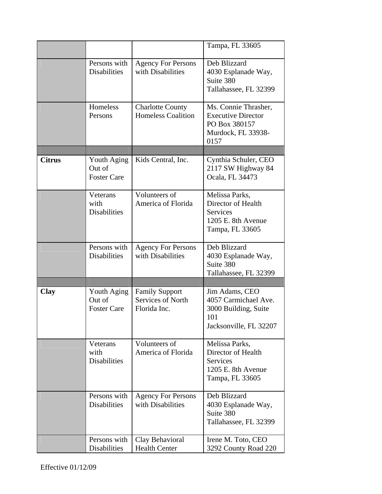|               |                                             |                                                            | Tampa, FL 33605                                                                                  |
|---------------|---------------------------------------------|------------------------------------------------------------|--------------------------------------------------------------------------------------------------|
|               | Persons with<br><b>Disabilities</b>         | <b>Agency For Persons</b><br>with Disabilities             | Deb Blizzard<br>4030 Esplanade Way,<br>Suite 380<br>Tallahassee, FL 32399                        |
|               | Homeless<br>Persons                         | <b>Charlotte County</b><br><b>Homeless Coalition</b>       | Ms. Connie Thrasher,<br><b>Executive Director</b><br>PO Box 380157<br>Murdock, FL 33938-<br>0157 |
| <b>Citrus</b> | Youth Aging<br>Out of<br><b>Foster Care</b> | Kids Central, Inc.                                         | Cynthia Schuler, CEO<br>2117 SW Highway 84<br>Ocala, FL 34473                                    |
|               | Veterans<br>with<br><b>Disabilities</b>     | Volunteers of<br>America of Florida                        | Melissa Parks,<br>Director of Health<br><b>Services</b><br>1205 E. 8th Avenue<br>Tampa, FL 33605 |
|               | Persons with<br><b>Disabilities</b>         | <b>Agency For Persons</b><br>with Disabilities             | Deb Blizzard<br>4030 Esplanade Way,<br>Suite 380<br>Tallahassee, FL 32399                        |
|               |                                             |                                                            |                                                                                                  |
| <b>Clay</b>   | Youth Aging<br>Out of<br><b>Foster Care</b> | <b>Family Support</b><br>Services of North<br>Florida Inc. | Jim Adams, CEO<br>4057 Carmichael Ave.<br>3000 Building, Suite<br>101<br>Jacksonville, FL 32207  |
|               | Veterans<br>with<br><b>Disabilities</b>     | Volunteers of<br>America of Florida                        | Melissa Parks,<br>Director of Health<br><b>Services</b><br>1205 E. 8th Avenue<br>Tampa, FL 33605 |
|               | Persons with<br><b>Disabilities</b>         | <b>Agency For Persons</b><br>with Disabilities             | Deb Blizzard<br>4030 Esplanade Way,<br>Suite 380<br>Tallahassee, FL 32399                        |
|               | Persons with<br>Disabilities                | Clay Behavioral<br><b>Health Center</b>                    | Irene M. Toto, CEO<br>3292 County Road 220                                                       |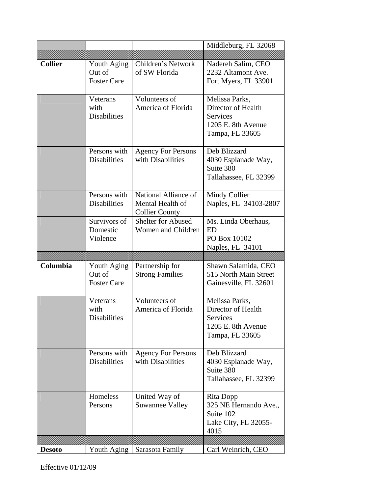|                |                                             |                                                                   | Middleburg, FL 32068                                                                             |
|----------------|---------------------------------------------|-------------------------------------------------------------------|--------------------------------------------------------------------------------------------------|
|                |                                             |                                                                   |                                                                                                  |
| <b>Collier</b> | Youth Aging<br>Out of<br><b>Foster Care</b> | Children's Network<br>of SW Florida                               | Nadereh Salim, CEO<br>2232 Altamont Ave.<br>Fort Myers, FL 33901                                 |
|                | Veterans<br>with<br><b>Disabilities</b>     | Volunteers of<br>America of Florida                               | Melissa Parks,<br>Director of Health<br><b>Services</b><br>1205 E. 8th Avenue<br>Tampa, FL 33605 |
|                | Persons with<br><b>Disabilities</b>         | <b>Agency For Persons</b><br>with Disabilities                    | Deb Blizzard<br>4030 Esplanade Way,<br>Suite 380<br>Tallahassee, FL 32399                        |
|                | Persons with<br><b>Disabilities</b>         | National Alliance of<br>Mental Health of<br><b>Collier County</b> | Mindy Collier<br>Naples, FL 34103-2807                                                           |
|                | Survivors of<br>Domestic<br>Violence        | <b>Shelter for Abused</b><br>Women and Children                   | Ms. Linda Oberhaus,<br><b>ED</b><br>PO Box 10102<br>Naples, FL 34101                             |
|                |                                             |                                                                   |                                                                                                  |
|                |                                             |                                                                   |                                                                                                  |
| Columbia       | Youth Aging<br>Out of<br><b>Foster Care</b> | Partnership for<br><b>Strong Families</b>                         | Shawn Salamida, CEO<br>515 North Main Street<br>Gainesville, FL 32601                            |
|                | Veterans<br>with<br><b>Disabilities</b>     | Volunteers of<br>America of Florida                               | Melissa Parks,<br>Director of Health<br>Services<br>1205 E. 8th Avenue<br>Tampa, FL 33605        |
|                | Persons with<br><b>Disabilities</b>         | <b>Agency For Persons</b><br>with Disabilities                    | Deb Blizzard<br>4030 Esplanade Way,<br>Suite 380<br>Tallahassee, FL 32399                        |
|                | Homeless<br>Persons                         | United Way of<br><b>Suwannee Valley</b>                           | Rita Dopp<br>325 NE Hernando Ave.,<br>Suite 102<br>Lake City, FL 32055-<br>4015                  |
|                | Youth Aging                                 | Sarasota Family                                                   | Carl Weinrich, CEO                                                                               |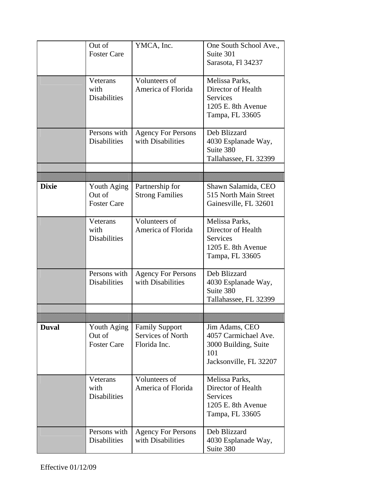|              | Out of                | YMCA, Inc.                                 | One South School Ave.,                 |
|--------------|-----------------------|--------------------------------------------|----------------------------------------|
|              | <b>Foster Care</b>    |                                            | Suite 301                              |
|              |                       |                                            | Sarasota, Fl 34237                     |
|              | Veterans              | Volunteers of                              | Melissa Parks,                         |
|              | with                  | America of Florida                         | Director of Health                     |
|              | <b>Disabilities</b>   |                                            | <b>Services</b>                        |
|              |                       |                                            | 1205 E. 8th Avenue                     |
|              |                       |                                            | Tampa, FL 33605                        |
|              | Persons with          | <b>Agency For Persons</b>                  | Deb Blizzard                           |
|              | <b>Disabilities</b>   | with Disabilities                          | 4030 Esplanade Way,                    |
|              |                       |                                            | Suite 380                              |
|              |                       |                                            | Tallahassee, FL 32399                  |
|              |                       |                                            |                                        |
| <b>Dixie</b> | Youth Aging           | Partnership for                            | Shawn Salamida, CEO                    |
|              | Out of                | <b>Strong Families</b>                     | 515 North Main Street                  |
|              | <b>Foster Care</b>    |                                            | Gainesville, FL 32601                  |
|              |                       |                                            |                                        |
|              | Veterans              | Volunteers of                              | Melissa Parks,                         |
|              | with                  | America of Florida                         | Director of Health                     |
|              | <b>Disabilities</b>   |                                            | <b>Services</b>                        |
|              |                       |                                            | 1205 E. 8th Avenue                     |
|              |                       |                                            | Tampa, FL 33605                        |
|              | Persons with          | <b>Agency For Persons</b>                  | Deb Blizzard                           |
|              | <b>Disabilities</b>   | with Disabilities                          | 4030 Esplanade Way,                    |
|              |                       |                                            | Suite 380                              |
|              |                       |                                            | Tallahassee, FL 32399                  |
|              |                       |                                            |                                        |
| <b>Duval</b> |                       |                                            |                                        |
|              | Youth Aging<br>Out of | <b>Family Support</b><br>Services of North | Jim Adams, CEO<br>4057 Carmichael Ave. |
|              | <b>Foster Care</b>    | Florida Inc.                               | 3000 Building, Suite                   |
|              |                       |                                            | 101                                    |
|              |                       |                                            | Jacksonville, FL 32207                 |
|              |                       |                                            |                                        |
|              | Veterans<br>with      | Volunteers of<br>America of Florida        | Melissa Parks,<br>Director of Health   |
|              | <b>Disabilities</b>   |                                            | <b>Services</b>                        |
|              |                       |                                            | 1205 E. 8th Avenue                     |
|              |                       |                                            | Tampa, FL 33605                        |
|              |                       |                                            |                                        |
|              | Persons with          | <b>Agency For Persons</b>                  | Deb Blizzard                           |
|              | <b>Disabilities</b>   | with Disabilities                          | 4030 Esplanade Way,                    |
|              |                       |                                            | Suite 380                              |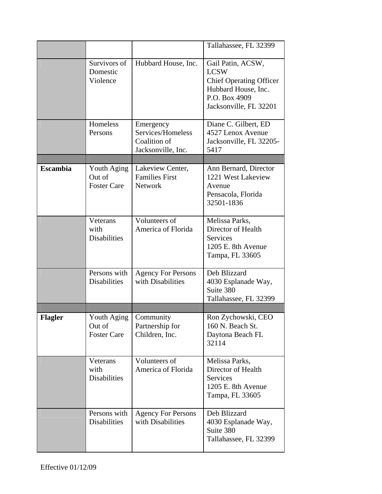|                 |                                             |                                                                      | Tallahassee, FL 32399                                                                                                                |
|-----------------|---------------------------------------------|----------------------------------------------------------------------|--------------------------------------------------------------------------------------------------------------------------------------|
|                 | Survivors of<br>Domestic<br>Violence        | Hubbard House, Inc.                                                  | Gail Patin, ACSW,<br><b>LCSW</b><br><b>Chief Operating Officer</b><br>Hubbard House, Inc.<br>P.O. Box 4909<br>Jacksonville, FL 32201 |
|                 | Homeless<br>Persons                         | Emergency<br>Services/Homeless<br>Coalition of<br>Jacksonville, Inc. | Diane C. Gilbert, ED<br>4527 Lenox Avenue<br>Jacksonville, FL 32205-<br>5417                                                         |
| <b>Escambia</b> | Youth Aging                                 | Lakeview Center,                                                     | Ann Bernard, Director                                                                                                                |
|                 | Out of<br><b>Foster Care</b>                | <b>Families First</b><br>Network                                     | 1221 West Lakeview<br>Avenue<br>Pensacola, Florida<br>32501-1836                                                                     |
|                 | Veterans<br>with<br><b>Disabilities</b>     | Volunteers of<br>America of Florida                                  | Melissa Parks,<br>Director of Health<br>Services<br>1205 E. 8th Avenue<br>Tampa, FL 33605                                            |
|                 | Persons with<br><b>Disabilities</b>         | <b>Agency For Persons</b><br>with Disabilities                       | Deb Blizzard<br>4030 Esplanade Way,<br>Suite 380<br>Tallahassee, FL 32399                                                            |
|                 |                                             |                                                                      |                                                                                                                                      |
| Flagler         | Youth Aging<br>Out of<br><b>Foster Care</b> | Community<br>Partnership for<br>Children, Inc.                       | Ron Zychowski, CEO<br>160 N. Beach St.<br>Daytona Beach FL<br>32114                                                                  |
|                 | Veterans<br>with<br><b>Disabilities</b>     | Volunteers of<br>America of Florida                                  | Melissa Parks,<br>Director of Health<br>Services<br>1205 E. 8th Avenue<br>Tampa, FL 33605                                            |
|                 | Persons with<br>Disabilities                | <b>Agency For Persons</b><br>with Disabilities                       | Deb Blizzard<br>4030 Esplanade Way,<br>Suite 380<br>Tallahassee, FL 32399                                                            |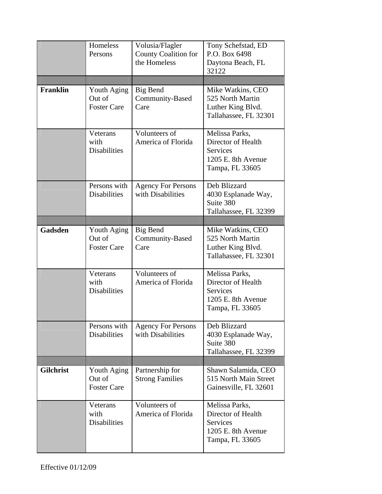|                  | Homeless<br>Persons                         | Volusia/Flagler<br>County Coalition for<br>the Homeless | Tony Schefstad, ED<br>P.O. Box 6498<br>Daytona Beach, FL<br>32122                                |
|------------------|---------------------------------------------|---------------------------------------------------------|--------------------------------------------------------------------------------------------------|
| <b>Franklin</b>  | Youth Aging<br>Out of<br><b>Foster Care</b> | Big Bend<br>Community-Based<br>Care                     | Mike Watkins, CEO<br>525 North Martin<br>Luther King Blvd.<br>Tallahassee, FL 32301              |
|                  | Veterans<br>with<br><b>Disabilities</b>     | Volunteers of<br>America of Florida                     | Melissa Parks,<br>Director of Health<br><b>Services</b><br>1205 E. 8th Avenue<br>Tampa, FL 33605 |
|                  | Persons with<br><b>Disabilities</b>         | <b>Agency For Persons</b><br>with Disabilities          | Deb Blizzard<br>4030 Esplanade Way,<br>Suite 380<br>Tallahassee, FL 32399                        |
| Gadsden          | Youth Aging<br>Out of<br><b>Foster Care</b> | Big Bend<br>Community-Based<br>Care                     | Mike Watkins, CEO<br>525 North Martin<br>Luther King Blvd.<br>Tallahassee, FL 32301              |
|                  | Veterans<br>with<br><b>Disabilities</b>     | Volunteers of<br>America of Florida                     | Melissa Parks,<br>Director of Health<br>Services<br>1205 E. 8th Avenue<br>Tampa, FL 33605        |
|                  | Persons with<br><b>Disabilities</b>         | <b>Agency For Persons</b><br>with Disabilities          | Deb Blizzard<br>4030 Esplanade Way,<br>Suite 380<br>Tallahassee, FL 32399                        |
| <b>Gilchrist</b> | Youth Aging<br>Out of<br><b>Foster Care</b> | Partnership for<br><b>Strong Families</b>               | Shawn Salamida, CEO<br>515 North Main Street<br>Gainesville, FL 32601                            |
|                  | Veterans<br>with<br><b>Disabilities</b>     | Volunteers of<br>America of Florida                     | Melissa Parks,<br>Director of Health<br>Services<br>1205 E. 8th Avenue<br>Tampa, FL 33605        |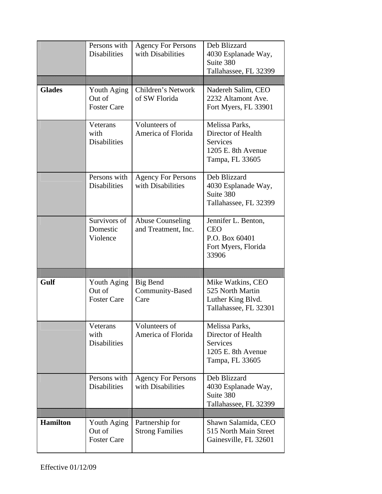|                 | Persons with<br><b>Disabilities</b>         | <b>Agency For Persons</b><br>with Disabilities | Deb Blizzard<br>4030 Esplanade Way,<br>Suite 380<br>Tallahassee, FL 32399                        |
|-----------------|---------------------------------------------|------------------------------------------------|--------------------------------------------------------------------------------------------------|
| <b>Glades</b>   | Youth Aging<br>Out of<br><b>Foster Care</b> | Children's Network<br>of SW Florida            | Nadereh Salim, CEO<br>2232 Altamont Ave.<br>Fort Myers, FL 33901                                 |
|                 | Veterans<br>with<br><b>Disabilities</b>     | Volunteers of<br>America of Florida            | Melissa Parks,<br>Director of Health<br><b>Services</b><br>1205 E. 8th Avenue<br>Tampa, FL 33605 |
|                 | Persons with<br><b>Disabilities</b>         | <b>Agency For Persons</b><br>with Disabilities | Deb Blizzard<br>4030 Esplanade Way,<br>Suite 380<br>Tallahassee, FL 32399                        |
|                 | Survivors of<br>Domestic<br>Violence        | <b>Abuse Counseling</b><br>and Treatment, Inc. | Jennifer L. Benton,<br><b>CEO</b><br>P.O. Box 60401<br>Fort Myers, Florida<br>33906              |
|                 |                                             |                                                |                                                                                                  |
| Gulf            | Youth Aging<br>Out of<br><b>Foster Care</b> | Big Bend<br>Community-Based<br>Care            | Mike Watkins, CEO<br>525 North Martin<br>Luther King Blvd.<br>Tallahassee, FL 32301              |
|                 | Veterans<br>with<br><b>Disabilities</b>     | Volunteers of<br>America of Florida            | Melissa Parks,<br>Director of Health<br><b>Services</b><br>1205 E. 8th Avenue<br>Tampa, FL 33605 |
|                 | Persons with<br><b>Disabilities</b>         | <b>Agency For Persons</b><br>with Disabilities | Deb Blizzard<br>4030 Esplanade Way,<br>Suite 380<br>Tallahassee, FL 32399                        |
|                 |                                             |                                                |                                                                                                  |
| <b>Hamilton</b> | Youth Aging<br>Out of                       | Partnership for<br><b>Strong Families</b>      | Shawn Salamida, CEO<br>515 North Main Street                                                     |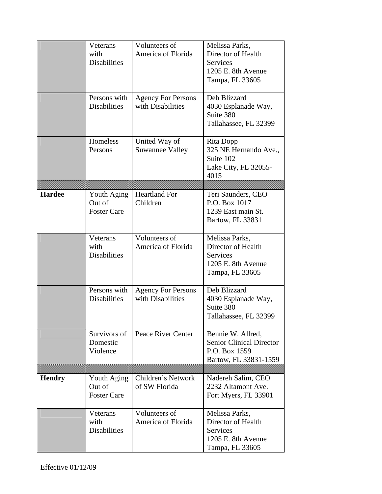|               | Veterans<br>with<br><b>Disabilities</b>     | Volunteers of<br>America of Florida            | Melissa Parks,<br>Director of Health<br><b>Services</b><br>1205 E. 8th Avenue<br>Tampa, FL 33605 |
|---------------|---------------------------------------------|------------------------------------------------|--------------------------------------------------------------------------------------------------|
|               | Persons with<br><b>Disabilities</b>         | <b>Agency For Persons</b><br>with Disabilities | Deb Blizzard<br>4030 Esplanade Way,<br>Suite 380<br>Tallahassee, FL 32399                        |
|               | Homeless<br>Persons                         | United Way of<br><b>Suwannee Valley</b>        | Rita Dopp<br>325 NE Hernando Ave.,<br>Suite 102<br>Lake City, FL 32055-<br>4015                  |
|               |                                             |                                                |                                                                                                  |
| <b>Hardee</b> | Youth Aging<br>Out of<br><b>Foster Care</b> | <b>Heartland For</b><br>Children               | Teri Saunders, CEO<br>P.O. Box 1017<br>1239 East main St.<br>Bartow, FL 33831                    |
|               | Veterans<br>with<br><b>Disabilities</b>     | Volunteers of<br>America of Florida            | Melissa Parks,<br>Director of Health<br><b>Services</b><br>1205 E. 8th Avenue<br>Tampa, FL 33605 |
|               | Persons with<br><b>Disabilities</b>         | <b>Agency For Persons</b><br>with Disabilities | Deb Blizzard<br>4030 Esplanade Way,<br>Suite 380<br>Tallahassee, FL 32399                        |
|               | Survivors of<br>Domestic<br>Violence        | Peace River Center                             | Bennie W. Allred,<br><b>Senior Clinical Director</b><br>P.O. Box 1559<br>Bartow, FL 33831-1559   |
|               |                                             |                                                |                                                                                                  |
| <b>Hendry</b> | Youth Aging<br>Out of<br><b>Foster Care</b> | Children's Network<br>of SW Florida            | Nadereh Salim, CEO<br>2232 Altamont Ave.<br>Fort Myers, FL 33901                                 |
|               | Veterans<br>with<br><b>Disabilities</b>     | Volunteers of<br>America of Florida            | Melissa Parks,<br>Director of Health<br>Services<br>1205 E. 8th Avenue<br>Tampa, FL 33605        |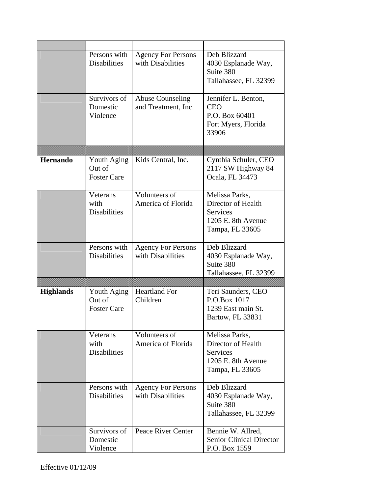|                  | Persons with<br><b>Disabilities</b>         | <b>Agency For Persons</b><br>with Disabilities | Deb Blizzard<br>4030 Esplanade Way,<br>Suite 380<br>Tallahassee, FL 32399                        |
|------------------|---------------------------------------------|------------------------------------------------|--------------------------------------------------------------------------------------------------|
|                  | Survivors of<br>Domestic<br>Violence        | <b>Abuse Counseling</b><br>and Treatment, Inc. | Jennifer L. Benton,<br><b>CEO</b><br>P.O. Box 60401<br>Fort Myers, Florida<br>33906              |
|                  |                                             |                                                |                                                                                                  |
| <b>Hernando</b>  | Youth Aging<br>Out of<br><b>Foster Care</b> | Kids Central, Inc.                             | Cynthia Schuler, CEO<br>2117 SW Highway 84<br>Ocala, FL 34473                                    |
|                  | Veterans<br>with<br><b>Disabilities</b>     | Volunteers of<br>America of Florida            | Melissa Parks,<br>Director of Health<br>Services<br>1205 E. 8th Avenue<br>Tampa, FL 33605        |
|                  | Persons with<br><b>Disabilities</b>         | <b>Agency For Persons</b><br>with Disabilities | Deb Blizzard<br>4030 Esplanade Way,<br>Suite 380<br>Tallahassee, FL 32399                        |
|                  |                                             |                                                |                                                                                                  |
| <b>Highlands</b> | Youth Aging<br>Out of<br><b>Foster Care</b> | <b>Heartland For</b><br>Children               | Teri Saunders, CEO<br>P.O.Box 1017<br>1239 East main St.<br>Bartow, FL 33831                     |
|                  | Veterans<br>with<br><b>Disabilities</b>     | Volunteers of<br>America of Florida            | Melissa Parks,<br>Director of Health<br><b>Services</b><br>1205 E. 8th Avenue<br>Tampa, FL 33605 |
|                  | Persons with<br><b>Disabilities</b>         | <b>Agency For Persons</b><br>with Disabilities | Deb Blizzard<br>4030 Esplanade Way,<br>Suite 380<br>Tallahassee, FL 32399                        |
|                  | Survivors of<br>Domestic<br>Violence        | Peace River Center                             | Bennie W. Allred,<br><b>Senior Clinical Director</b><br>P.O. Box 1559                            |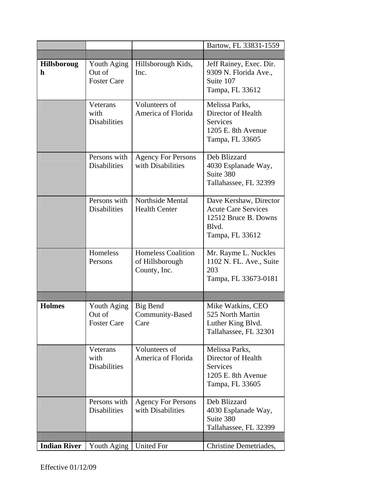|                         |                                             |                                                              | Bartow, FL 33831-1559                                                                                    |
|-------------------------|---------------------------------------------|--------------------------------------------------------------|----------------------------------------------------------------------------------------------------------|
|                         |                                             |                                                              |                                                                                                          |
| <b>Hillsboroug</b><br>h | Youth Aging<br>Out of<br><b>Foster Care</b> | Hillsborough Kids,<br>Inc.                                   | Jeff Rainey, Exec. Dir.<br>9309 N. Florida Ave.,<br>Suite 107<br>Tampa, FL 33612                         |
|                         | Veterans<br>with<br><b>Disabilities</b>     | Volunteers of<br>America of Florida                          | Melissa Parks,<br>Director of Health<br><b>Services</b><br>1205 E. 8th Avenue<br>Tampa, FL 33605         |
|                         | Persons with<br><b>Disabilities</b>         | <b>Agency For Persons</b><br>with Disabilities               | Deb Blizzard<br>4030 Esplanade Way,<br>Suite 380<br>Tallahassee, FL 32399                                |
|                         | Persons with<br><b>Disabilities</b>         | Northside Mental<br><b>Health Center</b>                     | Dave Kershaw, Director<br><b>Acute Care Services</b><br>12512 Bruce B. Downs<br>Blvd.<br>Tampa, FL 33612 |
|                         | Homeless<br>Persons                         | <b>Homeless Coalition</b><br>of Hillsborough<br>County, Inc. | Mr. Rayme L. Nuckles<br>1102 N. FL. Ave., Suite<br>203<br>Tampa, FL 33673-0181                           |
|                         |                                             |                                                              |                                                                                                          |
| <b>Holmes</b>           | Youth Aging<br>Out of<br><b>Foster Care</b> | Big Bend<br>Community-Based<br>Care                          | Mike Watkins, CEO<br>525 North Martin<br>Luther King Blvd.<br>Tallahassee, FL 32301                      |
|                         | Veterans<br>with<br><b>Disabilities</b>     | Volunteers of<br>America of Florida                          | Melissa Parks,<br>Director of Health<br>Services<br>1205 E. 8th Avenue<br>Tampa, FL 33605                |
|                         | Persons with<br><b>Disabilities</b>         | <b>Agency For Persons</b><br>with Disabilities               | Deb Blizzard<br>4030 Esplanade Way,<br>Suite 380<br>Tallahassee, FL 32399                                |
|                         |                                             |                                                              |                                                                                                          |
| <b>Indian River</b>     | Youth Aging   United For                    |                                                              | Christine Demetriades,                                                                                   |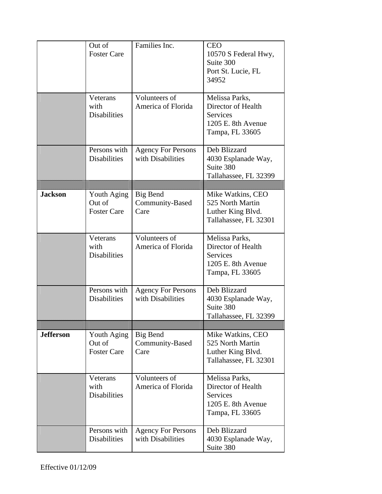|                  | Out of<br><b>Foster Care</b><br>Veterans    | Families Inc.<br>Volunteers of                 | <b>CEO</b><br>10570 S Federal Hwy,<br>Suite 300<br>Port St. Lucie, FL<br>34952<br>Melissa Parks, |
|------------------|---------------------------------------------|------------------------------------------------|--------------------------------------------------------------------------------------------------|
|                  | with<br><b>Disabilities</b>                 | America of Florida                             | Director of Health<br><b>Services</b><br>1205 E. 8th Avenue<br>Tampa, FL 33605                   |
|                  | Persons with<br><b>Disabilities</b>         | <b>Agency For Persons</b><br>with Disabilities | Deb Blizzard<br>4030 Esplanade Way,<br>Suite 380<br>Tallahassee, FL 32399                        |
| <b>Jackson</b>   | Youth Aging<br>Out of<br><b>Foster Care</b> | Big Bend<br>Community-Based<br>Care            | Mike Watkins, CEO<br>525 North Martin<br>Luther King Blvd.<br>Tallahassee, FL 32301              |
|                  | Veterans<br>with<br><b>Disabilities</b>     | Volunteers of<br>America of Florida            | Melissa Parks,<br>Director of Health<br>Services<br>1205 E. 8th Avenue<br>Tampa, FL 33605        |
|                  | Persons with<br><b>Disabilities</b>         | <b>Agency For Persons</b><br>with Disabilities | Deb Blizzard<br>4030 Esplanade Way,<br>Suite 380<br>Tallahassee, FL 32399                        |
| <b>Jefferson</b> | Youth Aging<br>Out of<br><b>Foster Care</b> | Big Bend<br>Community-Based<br>Care            | Mike Watkins, CEO<br>525 North Martin<br>Luther King Blvd.<br>Tallahassee, FL 32301              |
|                  | Veterans<br>with<br><b>Disabilities</b>     | Volunteers of<br>America of Florida            | Melissa Parks,<br>Director of Health<br>Services<br>1205 E. 8th Avenue<br>Tampa, FL 33605        |
|                  | Persons with<br><b>Disabilities</b>         | <b>Agency For Persons</b><br>with Disabilities | Deb Blizzard<br>4030 Esplanade Way,<br>Suite 380                                                 |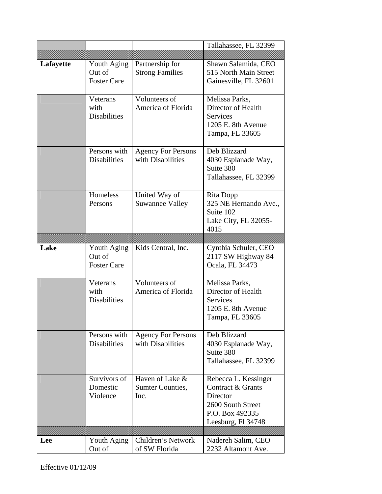|           |                                             |                                                | Tallahassee, FL 32399                                                                                               |
|-----------|---------------------------------------------|------------------------------------------------|---------------------------------------------------------------------------------------------------------------------|
|           |                                             |                                                |                                                                                                                     |
| Lafayette | Youth Aging<br>Out of<br><b>Foster Care</b> | Partnership for<br><b>Strong Families</b>      | Shawn Salamida, CEO<br>515 North Main Street<br>Gainesville, FL 32601                                               |
|           | Veterans<br>with<br><b>Disabilities</b>     | Volunteers of<br>America of Florida            | Melissa Parks,<br>Director of Health<br><b>Services</b><br>1205 E. 8th Avenue<br>Tampa, FL 33605                    |
|           | Persons with<br><b>Disabilities</b>         | <b>Agency For Persons</b><br>with Disabilities | Deb Blizzard<br>4030 Esplanade Way,<br>Suite 380<br>Tallahassee, FL 32399                                           |
|           | Homeless<br>Persons                         | United Way of<br><b>Suwannee Valley</b>        | Rita Dopp<br>325 NE Hernando Ave.,<br>Suite 102<br>Lake City, FL 32055-<br>4015                                     |
|           |                                             |                                                |                                                                                                                     |
|           |                                             |                                                |                                                                                                                     |
| Lake      | Youth Aging<br>Out of<br><b>Foster Care</b> | Kids Central, Inc.                             | Cynthia Schuler, CEO<br>2117 SW Highway 84<br>Ocala, FL 34473                                                       |
|           | Veterans<br>with<br><b>Disabilities</b>     | Volunteers of<br>America of Florida            | Melissa Parks,<br>Director of Health<br>Services<br>1205 E. 8th Avenue<br>Tampa, FL 33605                           |
|           | Persons with<br><b>Disabilities</b>         | <b>Agency For Persons</b><br>with Disabilities | Deb Blizzard<br>4030 Esplanade Way,<br>Suite 380<br>Tallahassee, FL 32399                                           |
|           | Survivors of<br>Domestic<br>Violence        | Haven of Lake &<br>Sumter Counties,<br>Inc.    | Rebecca L. Kessinger<br>Contract & Grants<br>Director<br>2600 South Street<br>P.O. Box 492335<br>Leesburg, Fl 34748 |
| Lee       | Youth Aging                                 | Children's Network                             | Nadereh Salim, CEO                                                                                                  |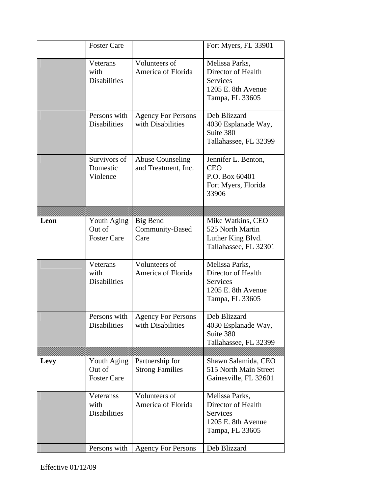|      | <b>Foster Care</b>                          |                                                | Fort Myers, FL 33901                                                                             |
|------|---------------------------------------------|------------------------------------------------|--------------------------------------------------------------------------------------------------|
|      | Veterans<br>with<br><b>Disabilities</b>     | Volunteers of<br>America of Florida            | Melissa Parks,<br>Director of Health<br><b>Services</b><br>1205 E. 8th Avenue<br>Tampa, FL 33605 |
|      | Persons with<br><b>Disabilities</b>         | <b>Agency For Persons</b><br>with Disabilities | Deb Blizzard<br>4030 Esplanade Way,<br>Suite 380<br>Tallahassee, FL 32399                        |
|      | Survivors of<br>Domestic<br>Violence        | <b>Abuse Counseling</b><br>and Treatment, Inc. | Jennifer L. Benton,<br><b>CEO</b><br>P.O. Box 60401<br>Fort Myers, Florida<br>33906              |
|      |                                             |                                                |                                                                                                  |
| Leon | Youth Aging<br>Out of<br><b>Foster Care</b> | <b>Big Bend</b><br>Community-Based<br>Care     | Mike Watkins, CEO<br>525 North Martin<br>Luther King Blvd.<br>Tallahassee, FL 32301              |
|      | Veterans<br>with<br><b>Disabilities</b>     | Volunteers of<br>America of Florida            | Melissa Parks,<br>Director of Health<br><b>Services</b><br>1205 E. 8th Avenue<br>Tampa, FL 33605 |
|      | Persons with<br><b>Disabilities</b>         | <b>Agency For Persons</b><br>with Disabilities | Deb Blizzard<br>4030 Esplanade Way,<br>Suite 380<br>Tallahassee, FL 32399                        |
|      |                                             |                                                |                                                                                                  |
| Levy | Youth Aging<br>Out of<br><b>Foster Care</b> | Partnership for<br><b>Strong Families</b>      | Shawn Salamida, CEO<br>515 North Main Street<br>Gainesville, FL 32601                            |
|      | Veteranss<br>with<br><b>Disabilities</b>    | Volunteers of<br>America of Florida            | Melissa Parks,<br>Director of Health<br><b>Services</b><br>1205 E. 8th Avenue<br>Tampa, FL 33605 |
|      | Persons with                                | <b>Agency For Persons</b>                      | Deb Blizzard                                                                                     |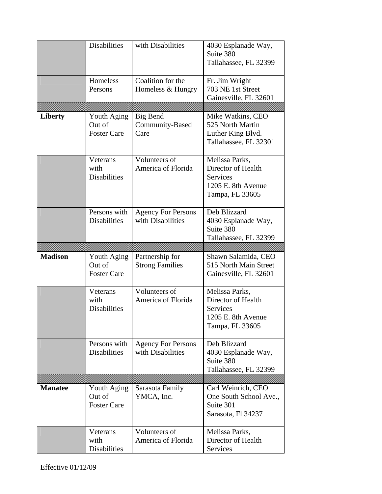|                | <b>Disabilities</b>                 | with Disabilities                              | 4030 Esplanade Way,                        |
|----------------|-------------------------------------|------------------------------------------------|--------------------------------------------|
|                |                                     |                                                | Suite 380<br>Tallahassee, FL 32399         |
|                |                                     |                                                |                                            |
|                | Homeless                            | Coalition for the                              | Fr. Jim Wright                             |
|                | Persons                             | Homeless & Hungry                              | 703 NE 1st Street<br>Gainesville, FL 32601 |
|                |                                     |                                                |                                            |
| <b>Liberty</b> | Youth Aging                         | Big Bend                                       | Mike Watkins, CEO                          |
|                | Out of<br><b>Foster Care</b>        | Community-Based<br>Care                        | 525 North Martin<br>Luther King Blvd.      |
|                |                                     |                                                | Tallahassee, FL 32301                      |
|                |                                     |                                                |                                            |
|                | Veterans<br>with                    | Volunteers of<br>America of Florida            | Melissa Parks,<br>Director of Health       |
|                | <b>Disabilities</b>                 |                                                | <b>Services</b>                            |
|                |                                     |                                                | 1205 E. 8th Avenue                         |
|                |                                     |                                                | Tampa, FL 33605                            |
|                | Persons with                        | <b>Agency For Persons</b>                      | Deb Blizzard                               |
|                | <b>Disabilities</b>                 | with Disabilities                              | 4030 Esplanade Way,                        |
|                |                                     |                                                | Suite 380                                  |
|                |                                     |                                                | Tallahassee, FL 32399                      |
|                |                                     |                                                |                                            |
| <b>Madison</b> | Youth Aging                         |                                                | Shawn Salamida, CEO                        |
|                | Out of                              | Partnership for<br><b>Strong Families</b>      | 515 North Main Street                      |
|                | <b>Foster Care</b>                  |                                                | Gainesville, FL 32601                      |
|                | Veterans                            | Volunteers of                                  | Melissa Parks,                             |
|                | with                                | America of Florida                             | Director of Health                         |
|                | <b>Disabilities</b>                 |                                                | Services<br>1205 E. 8th Avenue             |
|                |                                     |                                                | Tampa, FL 33605                            |
|                |                                     |                                                |                                            |
|                | Persons with<br><b>Disabilities</b> | <b>Agency For Persons</b><br>with Disabilities | Deb Blizzard                               |
|                |                                     |                                                | 4030 Esplanade Way,<br>Suite 380           |
|                |                                     |                                                | Tallahassee, FL 32399                      |
|                |                                     |                                                |                                            |
| <b>Manatee</b> | Youth Aging<br>Out of               | Sarasota Family                                | Carl Weinrich, CEO                         |
|                | <b>Foster Care</b>                  | YMCA, Inc.                                     | One South School Ave.,<br>Suite 301        |
|                |                                     |                                                | Sarasota, Fl 34237                         |
|                | Veterans                            | Volunteers of                                  | Melissa Parks,                             |
|                | with<br><b>Disabilities</b>         | America of Florida                             | Director of Health<br>Services             |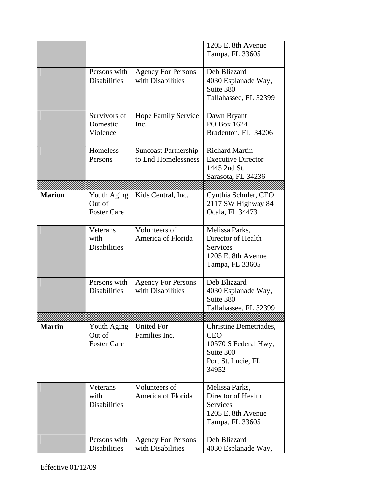|               |                                             |                                                    | 1205 E. 8th Avenue<br>Tampa, FL 33605                                                                    |
|---------------|---------------------------------------------|----------------------------------------------------|----------------------------------------------------------------------------------------------------------|
|               | Persons with<br><b>Disabilities</b>         | <b>Agency For Persons</b><br>with Disabilities     | Deb Blizzard<br>4030 Esplanade Way,<br>Suite 380<br>Tallahassee, FL 32399                                |
|               | Survivors of<br>Domestic<br>Violence        | <b>Hope Family Service</b><br>Inc.                 | Dawn Bryant<br>PO Box 1624<br>Bradenton, FL 34206                                                        |
|               | Homeless<br>Persons                         | <b>Suncoast Partnership</b><br>to End Homelessness | <b>Richard Martin</b><br><b>Executive Director</b><br>1445 2nd St.<br>Sarasota, FL 34236                 |
| <b>Marion</b> |                                             | Kids Central, Inc.                                 | Cynthia Schuler, CEO                                                                                     |
|               | Youth Aging<br>Out of<br><b>Foster Care</b> |                                                    | 2117 SW Highway 84<br>Ocala, FL 34473                                                                    |
|               | Veterans<br>with<br><b>Disabilities</b>     | Volunteers of<br>America of Florida                | Melissa Parks,<br>Director of Health<br><b>Services</b><br>1205 E. 8th Avenue<br>Tampa, FL 33605         |
|               | Persons with<br><b>Disabilities</b>         | <b>Agency For Persons</b><br>with Disabilities     | Deb Blizzard<br>4030 Esplanade Way,<br>Suite 380<br>Tallahassee, FL 32399                                |
|               |                                             |                                                    |                                                                                                          |
| <b>Martin</b> | Youth Aging<br>Out of<br><b>Foster Care</b> | <b>United For</b><br>Families Inc.                 | Christine Demetriades,<br><b>CEO</b><br>10570 S Federal Hwy,<br>Suite 300<br>Port St. Lucie, FL<br>34952 |
|               | Veterans<br>with<br><b>Disabilities</b>     | Volunteers of<br>America of Florida                | Melissa Parks,<br>Director of Health<br><b>Services</b><br>1205 E. 8th Avenue<br>Tampa, FL 33605         |
|               | Persons with<br>Disabilities                | <b>Agency For Persons</b><br>with Disabilities     | Deb Blizzard<br>4030 Esplanade Way,                                                                      |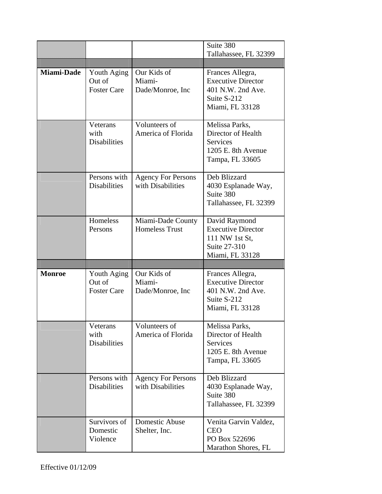|                   |                                             |                                                | Suite 380<br>Tallahassee, FL 32399                                                                   |
|-------------------|---------------------------------------------|------------------------------------------------|------------------------------------------------------------------------------------------------------|
| <b>Miami-Dade</b> | Youth Aging<br>Out of<br><b>Foster Care</b> | Our Kids of<br>Miami-<br>Dade/Monroe, Inc      | Frances Allegra,<br><b>Executive Director</b><br>401 N.W. 2nd Ave.<br>Suite S-212<br>Miami, FL 33128 |
|                   | Veterans<br>with<br><b>Disabilities</b>     | Volunteers of<br>America of Florida            | Melissa Parks,<br>Director of Health<br><b>Services</b><br>1205 E. 8th Avenue<br>Tampa, FL 33605     |
|                   | Persons with<br><b>Disabilities</b>         | <b>Agency For Persons</b><br>with Disabilities | Deb Blizzard<br>4030 Esplanade Way,<br>Suite 380<br>Tallahassee, FL 32399                            |
|                   | Homeless<br>Persons                         | Miami-Dade County<br><b>Homeless Trust</b>     | David Raymond<br><b>Executive Director</b><br>111 NW 1st St,<br>Suite 27-310<br>Miami, FL 33128      |
|                   |                                             |                                                |                                                                                                      |
| <b>Monroe</b>     | Youth Aging<br>Out of<br><b>Foster Care</b> | Our Kids of<br>Miami-<br>Dade/Monroe, Inc      | Frances Allegra,<br><b>Executive Director</b><br>401 N.W. 2nd Ave.<br>Suite S-212<br>Miami, FL 33128 |
|                   | Veterans<br>with<br><b>Disabilities</b>     | Volunteers of<br>America of Florida            | Melissa Parks,<br>Director of Health<br>Services<br>1205 E. 8th Avenue<br>Tampa, FL 33605            |
|                   | Persons with<br><b>Disabilities</b>         | <b>Agency For Persons</b><br>with Disabilities | Deb Blizzard<br>4030 Esplanade Way,<br>Suite 380<br>Tallahassee, FL 32399                            |
|                   | Survivors of<br>Domestic<br>Violence        | Domestic Abuse<br>Shelter, Inc.                | Venita Garvin Valdez,<br><b>CEO</b><br>PO Box 522696<br>Marathon Shores, FL                          |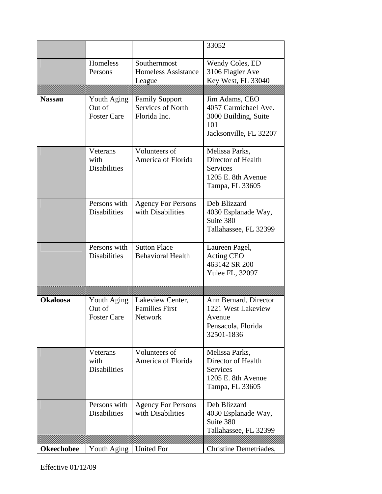|                   |                                             |                                                            | 33052                                                                                            |
|-------------------|---------------------------------------------|------------------------------------------------------------|--------------------------------------------------------------------------------------------------|
|                   | Homeless<br>Persons                         | Southernmost<br><b>Homeless Assistance</b><br>League       | Wendy Coles, ED<br>3106 Flagler Ave<br>Key West, FL 33040                                        |
|                   |                                             |                                                            |                                                                                                  |
| <b>Nassau</b>     | Youth Aging<br>Out of<br><b>Foster Care</b> | <b>Family Support</b><br>Services of North<br>Florida Inc. | Jim Adams, CEO<br>4057 Carmichael Ave.<br>3000 Building, Suite<br>101<br>Jacksonville, FL 32207  |
|                   | Veterans<br>with<br><b>Disabilities</b>     | Volunteers of<br>America of Florida                        | Melissa Parks,<br>Director of Health<br><b>Services</b><br>1205 E. 8th Avenue<br>Tampa, FL 33605 |
|                   | Persons with<br><b>Disabilities</b>         | <b>Agency For Persons</b><br>with Disabilities             | Deb Blizzard<br>4030 Esplanade Way,<br>Suite 380<br>Tallahassee, FL 32399                        |
|                   | Persons with<br><b>Disabilities</b>         | <b>Sutton Place</b><br><b>Behavioral Health</b>            | Laureen Pagel,<br>Acting CEO<br>463142 SR 200<br>Yulee FL, 32097                                 |
|                   |                                             |                                                            |                                                                                                  |
| <b>Okaloosa</b>   | Youth Aging<br>Out of<br><b>Foster Care</b> | Lakeview Center,<br><b>Families First</b><br>Network       | Ann Bernard, Director<br>1221 West Lakeview<br>Avenue<br>Pensacola, Florida<br>32501-1836        |
|                   | Veterans<br>with<br><b>Disabilities</b>     | Volunteers of<br>America of Florida                        | Melissa Parks,<br>Director of Health<br>Services<br>1205 E. 8th Avenue<br>Tampa, FL 33605        |
|                   | Persons with<br><b>Disabilities</b>         | <b>Agency For Persons</b><br>with Disabilities             | Deb Blizzard<br>4030 Esplanade Way,<br>Suite 380<br>Tallahassee, FL 32399                        |
|                   |                                             |                                                            |                                                                                                  |
| <b>Okeechobee</b> | Youth Aging   United For                    |                                                            | Christine Demetriades,                                                                           |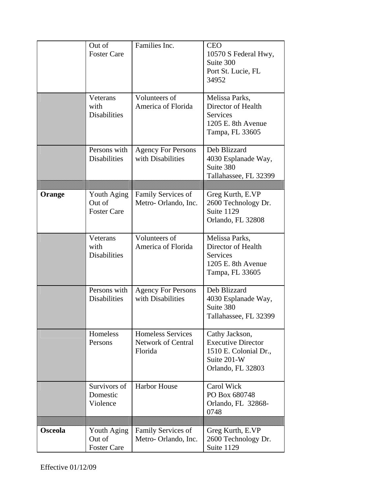|                | Out of<br><b>Foster Care</b><br>Veterans    | Families Inc.<br>Volunteers of                                   | <b>CEO</b><br>10570 S Federal Hwy,<br>Suite 300<br>Port St. Lucie, FL<br>34952<br>Melissa Parks,         |
|----------------|---------------------------------------------|------------------------------------------------------------------|----------------------------------------------------------------------------------------------------------|
|                | with<br><b>Disabilities</b>                 | America of Florida                                               | Director of Health<br><b>Services</b><br>1205 E. 8th Avenue<br>Tampa, FL 33605                           |
|                | Persons with<br><b>Disabilities</b>         | <b>Agency For Persons</b><br>with Disabilities                   | Deb Blizzard<br>4030 Esplanade Way,<br>Suite 380<br>Tallahassee, FL 32399                                |
| Orange         | Youth Aging<br>Out of<br><b>Foster Care</b> | Family Services of<br>Metro-Orlando, Inc.                        | Greg Kurth, E.VP<br>2600 Technology Dr.<br>Suite 1129<br>Orlando, FL 32808                               |
|                | Veterans<br>with<br><b>Disabilities</b>     | Volunteers of<br>America of Florida                              | Melissa Parks,<br>Director of Health<br><b>Services</b><br>1205 E. 8th Avenue<br>Tampa, FL 33605         |
|                | Persons with<br><b>Disabilities</b>         | <b>Agency For Persons</b><br>with Disabilities                   | Deb Blizzard<br>4030 Esplanade Way,<br>Suite 380<br>Tallahassee, FL 32399                                |
|                | Homeless<br>Persons                         | <b>Homeless Services</b><br><b>Network of Central</b><br>Florida | Cathy Jackson,<br><b>Executive Director</b><br>1510 E. Colonial Dr.,<br>Suite 201-W<br>Orlando, FL 32803 |
|                | Survivors of<br>Domestic<br>Violence        | <b>Harbor House</b>                                              | Carol Wick<br>PO Box 680748<br>Orlando, FL 32868-<br>0748                                                |
| <b>Osceola</b> | Youth Aging<br>Out of<br><b>Foster Care</b> | Family Services of<br>Metro-Orlando, Inc.                        | Greg Kurth, E.VP<br>2600 Technology Dr.<br>Suite 1129                                                    |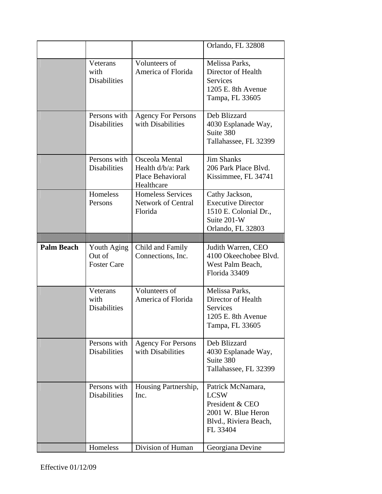|                   |                                             |                                                                        | Orlando, FL 32808                                                                                              |
|-------------------|---------------------------------------------|------------------------------------------------------------------------|----------------------------------------------------------------------------------------------------------------|
|                   | Veterans<br>with<br><b>Disabilities</b>     | Volunteers of<br>America of Florida                                    | Melissa Parks,<br>Director of Health<br><b>Services</b><br>1205 E. 8th Avenue<br>Tampa, FL 33605               |
|                   | Persons with<br><b>Disabilities</b>         | <b>Agency For Persons</b><br>with Disabilities                         | Deb Blizzard<br>4030 Esplanade Way,<br>Suite 380<br>Tallahassee, FL 32399                                      |
|                   | Persons with<br><b>Disabilities</b>         | Osceola Mental<br>Health d/b/a: Park<br>Place Behavioral<br>Healthcare | <b>Jim Shanks</b><br>206 Park Place Blvd.<br>Kissimmee, FL 34741                                               |
|                   | Homeless<br>Persons                         | <b>Homeless Services</b><br><b>Network of Central</b><br>Florida       | Cathy Jackson,<br><b>Executive Director</b><br>1510 E. Colonial Dr.,<br>Suite 201-W<br>Orlando, FL 32803       |
|                   |                                             |                                                                        |                                                                                                                |
|                   |                                             |                                                                        |                                                                                                                |
| <b>Palm Beach</b> | Youth Aging<br>Out of<br><b>Foster Care</b> | Child and Family<br>Connections, Inc.                                  | Judith Warren, CEO<br>4100 Okeechobee Blvd.<br>West Palm Beach,<br>Florida 33409                               |
|                   | Veterans<br>with<br><b>Disabilities</b>     | Volunteers of<br>America of Florida                                    | Melissa Parks,<br>Director of Health<br>Services<br>1205 E. 8th Avenue<br>Tampa, FL 33605                      |
|                   | Persons with<br><b>Disabilities</b>         | <b>Agency For Persons</b><br>with Disabilities                         | Deb Blizzard<br>4030 Esplanade Way,<br>Suite 380<br>Tallahassee, FL 32399                                      |
|                   | Persons with<br><b>Disabilities</b>         | Housing Partnership,<br>Inc.                                           | Patrick McNamara,<br><b>LCSW</b><br>President & CEO<br>2001 W. Blue Heron<br>Blvd., Riviera Beach,<br>FL 33404 |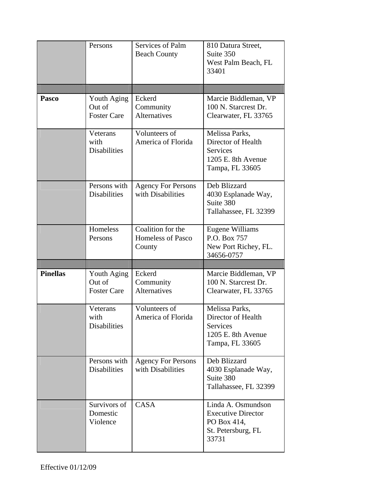|                 | Persons                                     | Services of Palm<br><b>Beach County</b>                 | 810 Datura Street,<br>Suite 350<br>West Palm Beach, FL<br>33401                                  |
|-----------------|---------------------------------------------|---------------------------------------------------------|--------------------------------------------------------------------------------------------------|
|                 |                                             |                                                         |                                                                                                  |
| Pasco           | Youth Aging<br>Out of<br><b>Foster Care</b> | Eckerd<br>Community<br><b>Alternatives</b>              | Marcie Biddleman, VP<br>100 N. Starcrest Dr.<br>Clearwater, FL 33765                             |
|                 | Veterans<br>with<br><b>Disabilities</b>     | Volunteers of<br>America of Florida                     | Melissa Parks,<br>Director of Health<br><b>Services</b><br>1205 E. 8th Avenue<br>Tampa, FL 33605 |
|                 | Persons with<br><b>Disabilities</b>         | <b>Agency For Persons</b><br>with Disabilities          | Deb Blizzard<br>4030 Esplanade Way,<br>Suite 380<br>Tallahassee, FL 32399                        |
|                 | Homeless<br>Persons                         | Coalition for the<br><b>Homeless of Pasco</b><br>County | Eugene Williams<br>P.O. Box 757<br>New Port Richey, FL.<br>34656-0757                            |
|                 |                                             |                                                         |                                                                                                  |
| <b>Pinellas</b> | Youth Aging<br>Out of<br><b>Foster Care</b> | Eckerd<br>Community<br><b>Alternatives</b>              | Marcie Biddleman, VP<br>100 N. Starcrest Dr.<br>Clearwater, FL 33765                             |
|                 | Veterans<br>with<br><b>Disabilities</b>     | Volunteers of<br>America of Florida                     | Melissa Parks,<br>Director of Health<br>Services<br>1205 E. 8th Avenue<br>Tampa, FL 33605        |
|                 | Persons with<br><b>Disabilities</b>         | <b>Agency For Persons</b><br>with Disabilities          | Deb Blizzard<br>4030 Esplanade Way,<br>Suite 380<br>Tallahassee, FL 32399                        |
|                 | Survivors of<br>Domestic<br>Violence        | <b>CASA</b>                                             | Linda A. Osmundson<br><b>Executive Director</b><br>PO Box 414,                                   |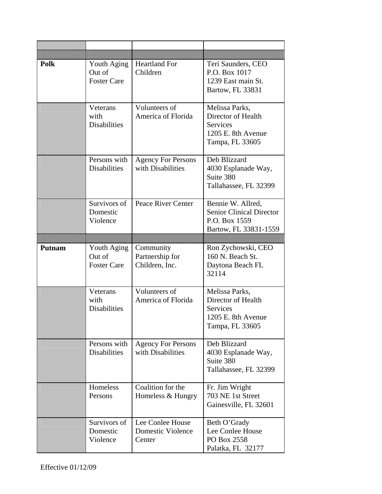| <b>Polk</b>   | Youth Aging<br>Out of<br><b>Foster Care</b> | <b>Heartland For</b><br>Children                       | Teri Saunders, CEO<br>P.O. Box 1017<br>1239 East main St.<br>Bartow, FL 33831                    |
|---------------|---------------------------------------------|--------------------------------------------------------|--------------------------------------------------------------------------------------------------|
|               | Veterans<br>with<br><b>Disabilities</b>     | Volunteers of<br>America of Florida                    | Melissa Parks,<br>Director of Health<br><b>Services</b><br>1205 E. 8th Avenue<br>Tampa, FL 33605 |
|               | Persons with<br><b>Disabilities</b>         | <b>Agency For Persons</b><br>with Disabilities         | Deb Blizzard<br>4030 Esplanade Way,<br>Suite 380<br>Tallahassee, FL 32399                        |
|               | Survivors of<br>Domestic<br>Violence        | Peace River Center                                     | Bennie W. Allred,<br><b>Senior Clinical Director</b><br>P.O. Box 1559<br>Bartow, FL 33831-1559   |
|               |                                             |                                                        |                                                                                                  |
| <b>Putnam</b> | Youth Aging<br>Out of<br><b>Foster Care</b> | Community<br>Partnership for<br>Children, Inc.         | Ron Zychowski, CEO<br>160 N. Beach St.<br>Daytona Beach FL<br>32114                              |
|               | Veterans<br>with<br><b>Disabilities</b>     | Volunteers of<br>America of Florida                    | Melissa Parks,<br>Director of Health<br>Services<br>1205 E. 8th Avenue<br>Tampa, FL 33605        |
|               | Persons with<br><b>Disabilities</b>         | <b>Agency For Persons</b><br>with Disabilities         | Deb Blizzard<br>4030 Esplanade Way,<br>Suite 380<br>Tallahassee, FL 32399                        |
|               | Homeless<br>Persons                         | Coalition for the<br>Homeless & Hungry                 | Fr. Jim Wright<br>703 NE 1st Street<br>Gainesville, FL 32601                                     |
|               | Survivors of<br>Domestic<br>Violence        | Lee Conlee House<br><b>Domestic Violence</b><br>Center | Beth O'Grady<br>Lee Conlee House<br>PO Box 2558<br>Palatka, FL 32177                             |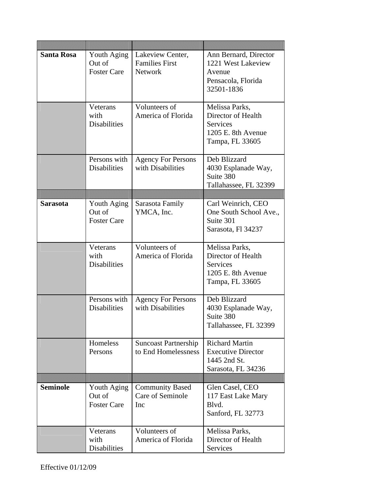| <b>Santa Rosa</b> | Youth Aging<br>Out of<br><b>Foster Care</b> | Lakeview Center,<br><b>Families First</b><br><b>Network</b> | Ann Bernard, Director<br>1221 West Lakeview<br>Avenue<br>Pensacola, Florida<br>32501-1836        |
|-------------------|---------------------------------------------|-------------------------------------------------------------|--------------------------------------------------------------------------------------------------|
|                   | Veterans<br>with<br><b>Disabilities</b>     | Volunteers of<br>America of Florida                         | Melissa Parks,<br>Director of Health<br><b>Services</b><br>1205 E. 8th Avenue<br>Tampa, FL 33605 |
|                   | Persons with<br><b>Disabilities</b>         | <b>Agency For Persons</b><br>with Disabilities              | Deb Blizzard<br>4030 Esplanade Way,<br>Suite 380<br>Tallahassee, FL 32399                        |
|                   |                                             |                                                             |                                                                                                  |
| <b>Sarasota</b>   | Youth Aging<br>Out of<br><b>Foster Care</b> | Sarasota Family<br>YMCA, Inc.                               | Carl Weinrich, CEO<br>One South School Ave.,<br>Suite 301<br>Sarasota, Fl 34237                  |
|                   | Veterans<br>with<br><b>Disabilities</b>     | Volunteers of<br>America of Florida                         | Melissa Parks,<br>Director of Health<br><b>Services</b><br>1205 E. 8th Avenue<br>Tampa, FL 33605 |
|                   | Persons with<br><b>Disabilities</b>         | <b>Agency For Persons</b><br>with Disabilities              | Deb Blizzard<br>4030 Esplanade Way,<br>Suite 380<br>Tallahassee, FL 32399                        |
|                   | Homeless<br>Persons                         | <b>Suncoast Partnership</b><br>to End Homelessness          | <b>Richard Martin</b><br><b>Executive Director</b><br>1445 2nd St.<br>Sarasota, FL 34236         |
|                   |                                             |                                                             |                                                                                                  |
| <b>Seminole</b>   | Youth Aging<br>Out of<br><b>Foster Care</b> | <b>Community Based</b><br>Care of Seminole<br>Inc           | Glen Casel, CEO<br>117 East Lake Mary<br>Blvd.<br>Sanford, FL 32773                              |
|                   | Veterans<br>with<br><b>Disabilities</b>     | Volunteers of<br>America of Florida                         | Melissa Parks,<br>Director of Health<br>Services                                                 |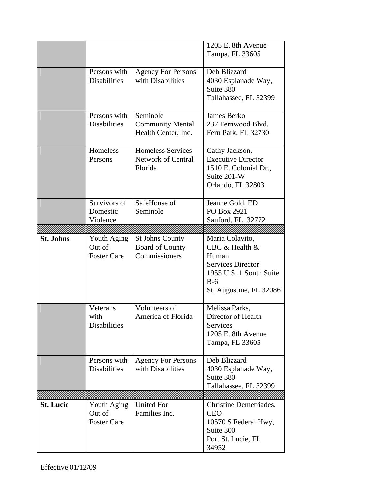|                  |                                             |                                                                   | 1205 E. 8th Avenue<br>Tampa, FL 33605                                                                                                 |
|------------------|---------------------------------------------|-------------------------------------------------------------------|---------------------------------------------------------------------------------------------------------------------------------------|
|                  | Persons with<br><b>Disabilities</b>         | <b>Agency For Persons</b><br>with Disabilities                    | Deb Blizzard<br>4030 Esplanade Way,<br>Suite 380<br>Tallahassee, FL 32399                                                             |
|                  | Persons with<br><b>Disabilities</b>         | Seminole<br><b>Community Mental</b><br>Health Center, Inc.        | James Berko<br>237 Fernwood Blyd.<br>Fern Park, FL 32730                                                                              |
|                  | Homeless<br>Persons                         | <b>Homeless Services</b><br><b>Network of Central</b><br>Florida  | Cathy Jackson,<br><b>Executive Director</b><br>1510 E. Colonial Dr.,<br>Suite 201-W<br>Orlando, FL 32803                              |
|                  | Survivors of<br>Domestic<br>Violence        | SafeHouse of<br>Seminole                                          | Jeanne Gold, ED<br>PO Box 2921<br>Sanford, FL 32772                                                                                   |
|                  |                                             |                                                                   |                                                                                                                                       |
| <b>St. Johns</b> | Youth Aging<br>Out of<br><b>Foster Care</b> | <b>St Johns County</b><br><b>Board of County</b><br>Commissioners | Maria Colavito,<br>CBC & Health &<br>Human<br><b>Services Director</b><br>1955 U.S. 1 South Suite<br>$B-6$<br>St. Augustine, FL 32086 |
|                  | Veterans<br>with<br><b>Disabilities</b>     | Volunteers of<br>America of Florida                               | Melissa Parks,<br>Director of Health<br>Services<br>1205 E. 8th Avenue<br>Tampa, FL 33605                                             |
|                  | Persons with<br><b>Disabilities</b>         | <b>Agency For Persons</b><br>with Disabilities                    | Deb Blizzard<br>4030 Esplanade Way,<br>Suite 380<br>Tallahassee, FL 32399                                                             |
|                  |                                             |                                                                   |                                                                                                                                       |
| <b>St. Lucie</b> | Youth Aging<br>Out of<br><b>Foster Care</b> | <b>United For</b><br>Families Inc.                                | Christine Demetriades,<br><b>CEO</b><br>10570 S Federal Hwy,<br>Suite 300<br>Port St. Lucie, FL                                       |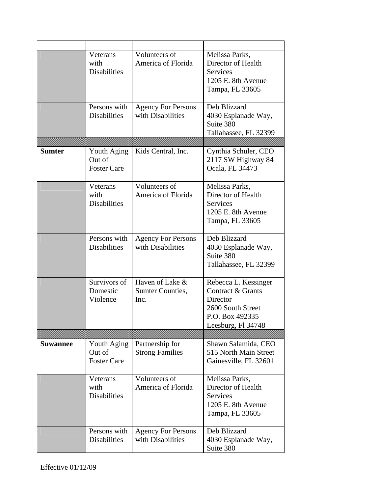|                 | Veterans<br>with<br><b>Disabilities</b>     | Volunteers of<br>America of Florida            | Melissa Parks,<br>Director of Health<br>Services<br>1205 E. 8th Avenue<br>Tampa, FL 33605                           |
|-----------------|---------------------------------------------|------------------------------------------------|---------------------------------------------------------------------------------------------------------------------|
|                 | Persons with<br><b>Disabilities</b>         | <b>Agency For Persons</b><br>with Disabilities | Deb Blizzard<br>4030 Esplanade Way,<br>Suite 380<br>Tallahassee, FL 32399                                           |
|                 |                                             |                                                |                                                                                                                     |
| <b>Sumter</b>   | Youth Aging<br>Out of<br><b>Foster Care</b> | Kids Central, Inc.                             | Cynthia Schuler, CEO<br>2117 SW Highway 84<br>Ocala, FL 34473                                                       |
|                 | Veterans<br>with<br><b>Disabilities</b>     | Volunteers of<br>America of Florida            | Melissa Parks,<br>Director of Health<br><b>Services</b><br>1205 E. 8th Avenue<br>Tampa, FL 33605                    |
|                 | Persons with<br><b>Disabilities</b>         | <b>Agency For Persons</b><br>with Disabilities | Deb Blizzard<br>4030 Esplanade Way,<br>Suite 380<br>Tallahassee, FL 32399                                           |
|                 | Survivors of<br>Domestic<br>Violence        | Haven of Lake &<br>Sumter Counties,<br>Inc.    | Rebecca L. Kessinger<br>Contract & Grants<br>Director<br>2600 South Street<br>P.O. Box 492335<br>Leesburg, Fl 34748 |
|                 |                                             |                                                |                                                                                                                     |
| <b>Suwannee</b> | Youth Aging<br>Out of<br><b>Foster Care</b> | Partnership for<br><b>Strong Families</b>      | Shawn Salamida, CEO<br>515 North Main Street<br>Gainesville, FL 32601                                               |
|                 | Veterans<br>with<br><b>Disabilities</b>     | Volunteers of<br>America of Florida            | Melissa Parks,<br>Director of Health<br>Services<br>1205 E. 8th Avenue<br>Tampa, FL 33605                           |
|                 | Persons with<br><b>Disabilities</b>         | <b>Agency For Persons</b><br>with Disabilities | Deb Blizzard<br>4030 Esplanade Way,<br>Suite 380                                                                    |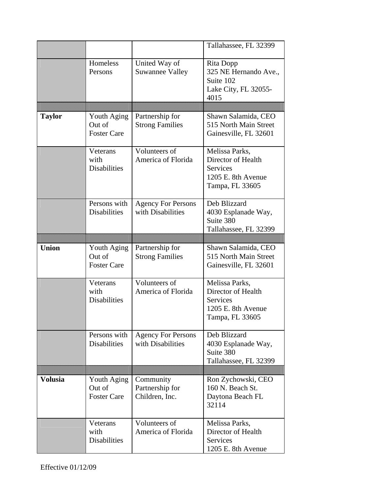|                |                                     |                                                | Tallahassee, FL 32399            |
|----------------|-------------------------------------|------------------------------------------------|----------------------------------|
|                | Homeless                            | United Way of                                  | Rita Dopp                        |
|                | Persons                             | <b>Suwannee Valley</b>                         | 325 NE Hernando Ave.,            |
|                |                                     |                                                | Suite 102                        |
|                |                                     |                                                | Lake City, FL 32055-             |
|                |                                     |                                                | 4015                             |
|                |                                     |                                                |                                  |
| <b>Taylor</b>  | Youth Aging                         | Partnership for                                | Shawn Salamida, CEO              |
|                | Out of<br><b>Foster Care</b>        | <b>Strong Families</b>                         | 515 North Main Street            |
|                |                                     |                                                | Gainesville, FL 32601            |
|                | Veterans                            | Volunteers of                                  | Melissa Parks,                   |
|                | with                                | America of Florida                             | Director of Health               |
|                | <b>Disabilities</b>                 |                                                | <b>Services</b>                  |
|                |                                     |                                                | 1205 E. 8th Avenue               |
|                |                                     |                                                | Tampa, FL 33605                  |
|                |                                     |                                                |                                  |
|                | Persons with<br><b>Disabilities</b> | <b>Agency For Persons</b><br>with Disabilities | Deb Blizzard                     |
|                |                                     |                                                | 4030 Esplanade Way,<br>Suite 380 |
|                |                                     |                                                | Tallahassee, FL 32399            |
|                |                                     |                                                |                                  |
| <b>Union</b>   | Youth Aging                         | Partnership for                                | Shawn Salamida, CEO              |
|                |                                     |                                                |                                  |
|                | Out of                              |                                                | 515 North Main Street            |
|                | <b>Foster Care</b>                  | <b>Strong Families</b>                         | Gainesville, FL 32601            |
|                |                                     |                                                |                                  |
|                | Veterans                            | Volunteers of                                  | Melissa Parks,                   |
|                | with                                | America of Florida                             | Director of Health               |
|                | <b>Disabilities</b>                 |                                                | <b>Services</b>                  |
|                |                                     |                                                | 1205 E. 8th Avenue               |
|                |                                     |                                                | Tampa, FL 33605                  |
|                | Persons with                        | <b>Agency For Persons</b>                      | Deb Blizzard                     |
|                | <b>Disabilities</b>                 | with Disabilities                              | 4030 Esplanade Way,              |
|                |                                     |                                                | Suite 380                        |
|                |                                     |                                                | Tallahassee, FL 32399            |
|                |                                     |                                                |                                  |
| <b>Volusia</b> | Youth Aging                         | Community                                      | Ron Zychowski, CEO               |
|                | Out of                              | Partnership for                                | 160 N. Beach St.                 |
|                | <b>Foster Care</b>                  | Children, Inc.                                 | Daytona Beach FL                 |
|                |                                     |                                                | 32114                            |
|                | Veterans                            | Volunteers of                                  | Melissa Parks,                   |
|                | with                                | America of Florida                             | Director of Health               |
|                | <b>Disabilities</b>                 |                                                | Services                         |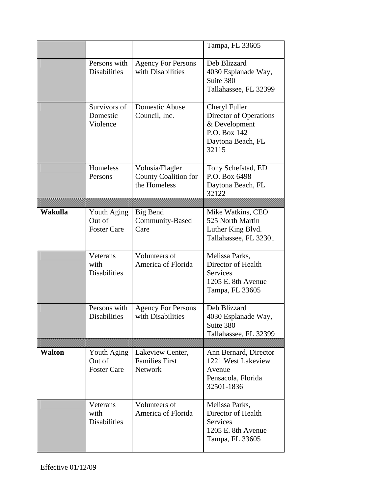|               |                                             |                                                                | Tampa, FL 33605                                                                                        |
|---------------|---------------------------------------------|----------------------------------------------------------------|--------------------------------------------------------------------------------------------------------|
|               | Persons with<br><b>Disabilities</b>         | <b>Agency For Persons</b><br>with Disabilities                 | Deb Blizzard<br>4030 Esplanade Way,<br>Suite 380<br>Tallahassee, FL 32399                              |
|               | Survivors of<br>Domestic<br>Violence        | Domestic Abuse<br>Council, Inc.                                | Cheryl Fuller<br>Director of Operations<br>& Development<br>P.O. Box 142<br>Daytona Beach, FL<br>32115 |
|               | Homeless<br>Persons                         | Volusia/Flagler<br><b>County Coalition for</b><br>the Homeless | Tony Schefstad, ED<br>P.O. Box 6498<br>Daytona Beach, FL<br>32122                                      |
|               |                                             |                                                                |                                                                                                        |
| Wakulla       | Youth Aging<br>Out of<br><b>Foster Care</b> | <b>Big Bend</b><br>Community-Based<br>Care                     | Mike Watkins, CEO<br>525 North Martin<br>Luther King Blvd.<br>Tallahassee, FL 32301                    |
|               | Veterans<br>with<br><b>Disabilities</b>     | Volunteers of<br>America of Florida                            | Melissa Parks,<br>Director of Health<br><b>Services</b><br>1205 E. 8th Avenue<br>Tampa, FL 33605       |
|               | Persons with<br><b>Disabilities</b>         | <b>Agency For Persons</b><br>with Disabilities                 | Deb Blizzard<br>4030 Esplanade Way,<br>Suite 380<br>Tallahassee, FL 32399                              |
|               |                                             |                                                                |                                                                                                        |
| <b>Walton</b> | Youth Aging<br>Out of<br><b>Foster Care</b> | Lakeview Center,<br><b>Families First</b><br><b>Network</b>    | Ann Bernard, Director<br>1221 West Lakeview<br>Avenue<br>Pensacola, Florida<br>32501-1836              |
|               | Veterans<br>with<br><b>Disabilities</b>     | Volunteers of<br>America of Florida                            | Melissa Parks,<br>Director of Health<br><b>Services</b><br>1205 E. 8th Avenue<br>Tampa, FL 33605       |